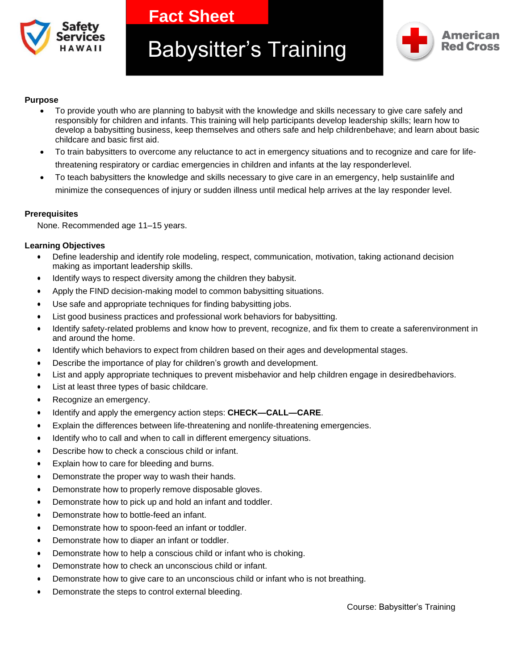

**Fact Sheet** 

# Babysitter's Training



#### **Purpose**

- To provide youth who are planning to babysit with the knowledge and skills necessary to give care safely and responsibly for children and infants. This training will help participants develop leadership skills; learn how to develop a babysitting business, keep themselves and others safe and help childrenbehave; and learn about basic childcare and basic first aid.
- To train babysitters to overcome any reluctance to act in emergency situations and to recognize and care for lifethreatening respiratory or cardiac emergencies in children and infants at the lay responderlevel.
- To teach babysitters the knowledge and skills necessary to give care in an emergency, help sustainlife and minimize the consequences of injury or sudden illness until medical help arrives at the lay responder level.

# **Prerequisites**

None. Recommended age 11–15 years.

# **Learning Objectives**

- Define leadership and identify role modeling, respect, communication, motivation, taking actionand decision making as important leadership skills.
- Identify ways to respect diversity among the children they babysit.
- Apply the FIND decision-making model to common babysitting situations.
- Use safe and appropriate techniques for finding babysitting jobs.
- List good business practices and professional work behaviors for babysitting.
- Identify safety-related problems and know how to prevent, recognize, and fix them to create a saferenvironment in and around the home.
- Identify which behaviors to expect from children based on their ages and developmental stages.
- Describe the importance of play for children's growth and development.
- List and apply appropriate techniques to prevent misbehavior and help children engage in desiredbehaviors.
- List at least three types of basic childcare.
- Recognize an emergency.
- Identify and apply the emergency action steps: **CHECK—CALL—CARE**.
- Explain the differences between life-threatening and nonlife-threatening emergencies.
- Identify who to call and when to call in different emergency situations.
- Describe how to check a conscious child or infant.
- Explain how to care for bleeding and burns.
- Demonstrate the proper way to wash their hands.
- Demonstrate how to properly remove disposable gloves.
- Demonstrate how to pick up and hold an infant and toddler.
- Demonstrate how to bottle-feed an infant.
- Demonstrate how to spoon-feed an infant or toddler.
- Demonstrate how to diaper an infant or toddler.
- Demonstrate how to help a conscious child or infant who is choking.
- Demonstrate how to check an unconscious child or infant.
- Demonstrate how to give care to an unconscious child or infant who is not breathing.
- Demonstrate the steps to control external bleeding.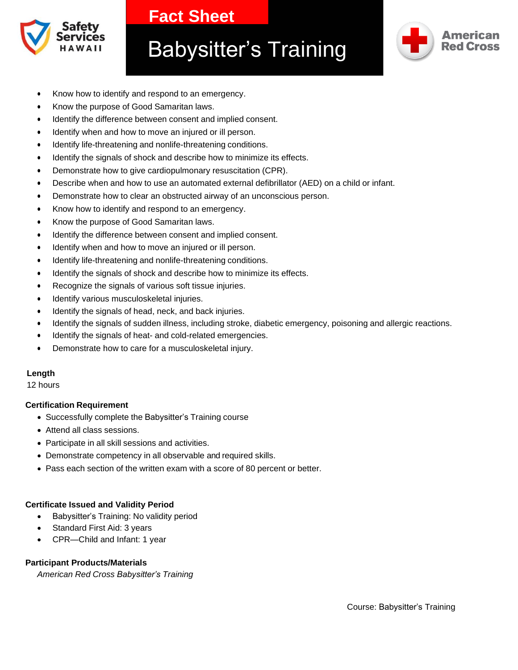

# **Fact Sheet**

# Babysitter's Training



- Know how to identify and respond to an emergency.
- Know the purpose of Good Samaritan laws.
- Identify the difference between consent and implied consent.
- Identify when and how to move an injured or ill person.
- Identify life-threatening and nonlife-threatening conditions.
- Identify the signals of shock and describe how to minimize its effects.
- Demonstrate how to give cardiopulmonary resuscitation (CPR).
- Describe when and how to use an automated external defibrillator (AED) on a child or infant.
- Demonstrate how to clear an obstructed airway of an unconscious person.
- Know how to identify and respond to an emergency.
- Know the purpose of Good Samaritan laws.
- Identify the difference between consent and implied consent.
- Identify when and how to move an injured or ill person.
- Identify life-threatening and nonlife-threatening conditions.
- Identify the signals of shock and describe how to minimize its effects.
- Recognize the signals of various soft tissue injuries.
- Identify various musculoskeletal injuries.
- Identify the signals of head, neck, and back injuries.
- Identify the signals of sudden illness, including stroke, diabetic emergency, poisoning and allergic reactions.
- Identify the signals of heat- and cold-related emergencies.
- Demonstrate how to care for a musculoskeletal injury.

#### **Length**

12 hours

#### **Certification Requirement**

- Successfully complete the Babysitter's Training course
- Attend all class sessions.
- Participate in all skill sessions and activities.
- Demonstrate competency in all observable and required skills.
- Pass each section of the written exam with a score of 80 percent or better.

#### **Certificate Issued and Validity Period**

- Babysitter's Training: No validity period
- Standard First Aid: 3 years
- CPR—Child and Infant: 1 year

# **Participant Products/Materials**

*American Red Cross Babysitter's Training*